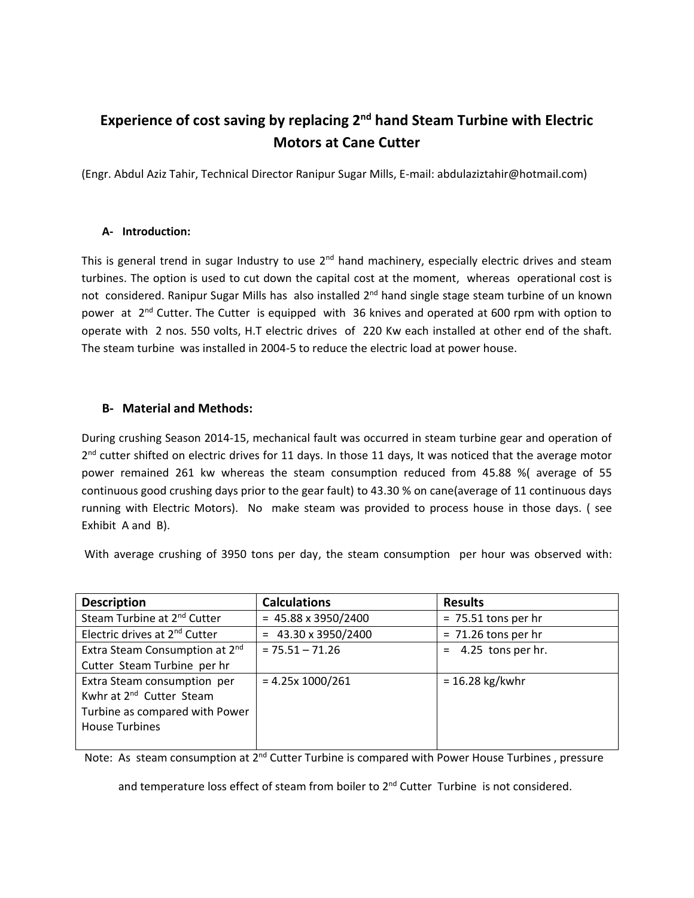### **Experience of cost saving by replacing 2nd hand Steam Turbine with Electric Motors at Cane Cutter**

(Engr. Abdul Aziz Tahir, Technical Director Ranipur Sugar Mills, E-mail: abdulaziztahir@hotmail.com)

#### **A- Introduction:**

This is general trend in sugar Industry to use  $2^{nd}$  hand machinery, especially electric drives and steam turbines. The option is used to cut down the capital cost at the moment, whereas operational cost is not considered. Ranipur Sugar Mills has also installed 2<sup>nd</sup> hand single stage steam turbine of un known power at  $2^{nd}$  Cutter. The Cutter is equipped with 36 knives and operated at 600 rpm with option to operate with 2 nos. 550 volts, H.T electric drives of 220 Kw each installed at other end of the shaft. The steam turbine was installed in 2004-5 to reduce the electric load at power house.

#### **B- Material and Methods:**

During crushing Season 2014-15, mechanical fault was occurred in steam turbine gear and operation of 2<sup>nd</sup> cutter shifted on electric drives for 11 days. In those 11 days, It was noticed that the average motor power remained 261 kw whereas the steam consumption reduced from 45.88 %( average of 55 continuous good crushing days prior to the gear fault) to 43.30 % on cane(average of 11 continuous days running with Electric Motors). No make steam was provided to process house in those days. ( see Exhibit A and B).

With average crushing of 3950 tons per day, the steam consumption per hour was observed with:

| <b>Description</b>                         | <b>Calculations</b>        | <b>Results</b>        |
|--------------------------------------------|----------------------------|-----------------------|
| Steam Turbine at 2 <sup>nd</sup> Cutter    | $= 45.88 \times 3950/2400$ | $= 75.51$ tons per hr |
| Electric drives at 2 <sup>nd</sup> Cutter  | $= 43.30 \times 3950/2400$ | $= 71.26$ tons per hr |
| Extra Steam Consumption at 2 <sup>nd</sup> | $= 75.51 - 71.26$          | $=$ 4.25 tons per hr. |
| Cutter Steam Turbine per hr                |                            |                       |
| Extra Steam consumption per                | $= 4.25x 1000/261$         | $= 16.28$ kg/kwhr     |
| Kwhr at 2 <sup>nd</sup> Cutter Steam       |                            |                       |
| Turbine as compared with Power             |                            |                       |
| <b>House Turbines</b>                      |                            |                       |
|                                            |                            |                       |

Note: As steam consumption at 2<sup>nd</sup> Cutter Turbine is compared with Power House Turbines, pressure

and temperature loss effect of steam from boiler to 2<sup>nd</sup> Cutter Turbine is not considered.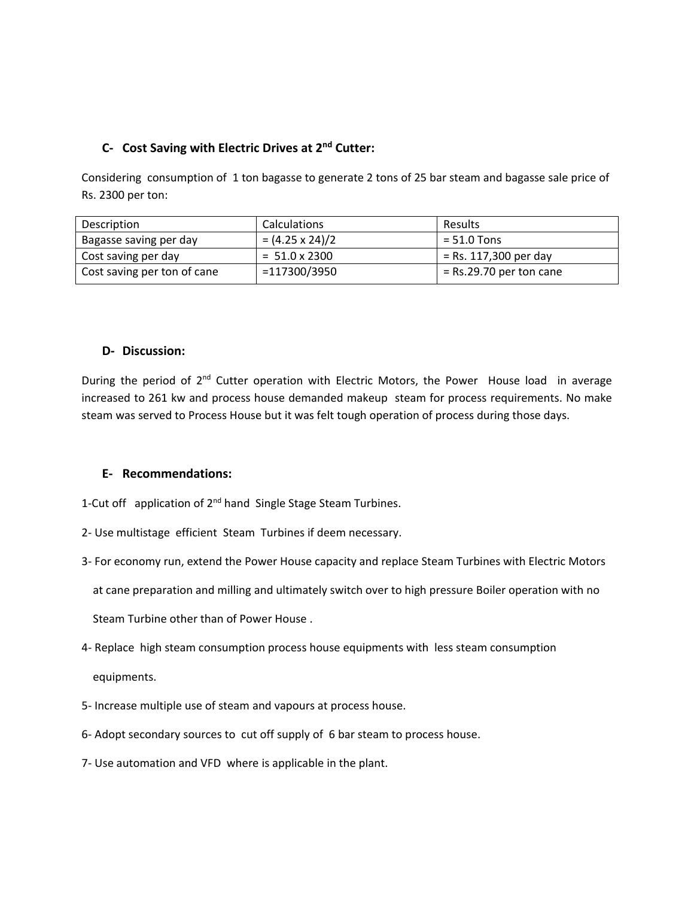### **C- Cost Saving with Electric Drives at 2nd Cutter:**

Considering consumption of 1 ton bagasse to generate 2 tons of 25 bar steam and bagasse sale price of Rs. 2300 per ton:

| Description                 | <b>Calculations</b>   | <b>Results</b>            |
|-----------------------------|-----------------------|---------------------------|
| Bagasse saving per day      | $=(4.25 \times 24)/2$ | $= 51.0$ Tons             |
| Cost saving per day         | $= 51.0 \times 2300$  | $=$ Rs. 117,300 per day   |
| Cost saving per ton of cane | $= 117300/3950$       | $=$ Rs.29.70 per ton cane |

#### **D- Discussion:**

During the period of 2<sup>nd</sup> Cutter operation with Electric Motors, the Power House load in average increased to 261 kw and process house demanded makeup steam for process requirements. No make steam was served to Process House but it was felt tough operation of process during those days.

#### **E- Recommendations:**

1-Cut off application of 2<sup>nd</sup> hand Single Stage Steam Turbines.

- 2- Use multistage efficient Steam Turbines if deem necessary.
- 3- For economy run, extend the Power House capacity and replace Steam Turbines with Electric Motors

at cane preparation and milling and ultimately switch over to high pressure Boiler operation with no

Steam Turbine other than of Power House .

4- Replace high steam consumption process house equipments with less steam consumption

equipments.

- 5- Increase multiple use of steam and vapours at process house.
- 6- Adopt secondary sources to cut off supply of 6 bar steam to process house.
- 7- Use automation and VFD where is applicable in the plant.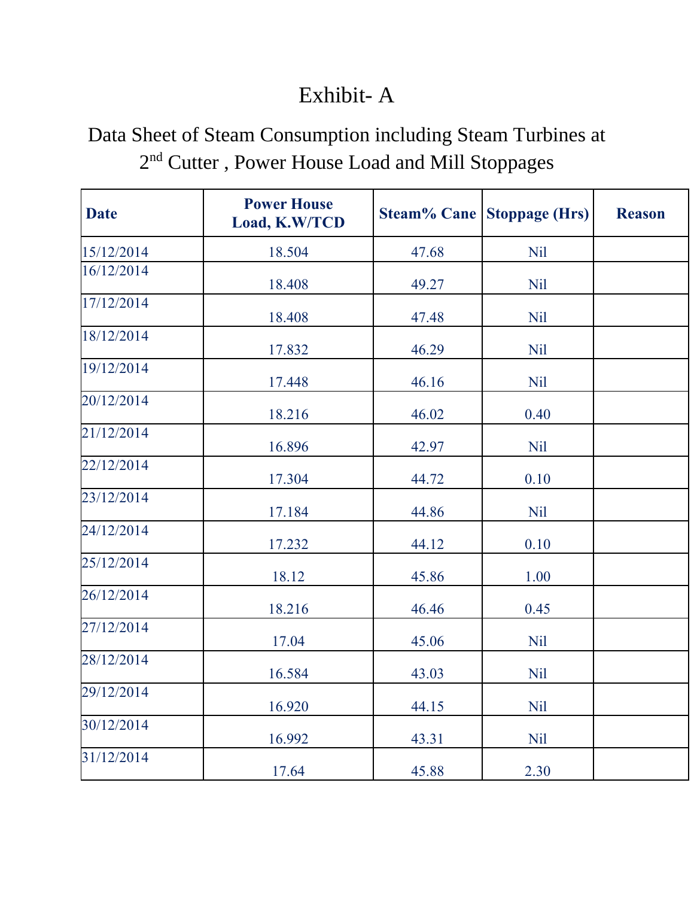### Exhibit- A

### Data Sheet of Steam Consumption including Steam Turbines at 2<sup>nd</sup> Cutter, Power House Load and Mill Stoppages

| <b>Date</b> | <b>Power House</b><br>Load, K.W/TCD | <b>Steam% Cane</b> | <b>Stoppage (Hrs)</b> | <b>Reason</b> |
|-------------|-------------------------------------|--------------------|-----------------------|---------------|
| 15/12/2014  | 18.504                              | 47.68              | <b>Nil</b>            |               |
| 16/12/2014  | 18.408                              | 49.27              | <b>Nil</b>            |               |
| 17/12/2014  | 18.408                              | 47.48              | <b>Nil</b>            |               |
| 18/12/2014  | 17.832                              | 46.29              | <b>Nil</b>            |               |
| 19/12/2014  | 17.448                              | 46.16              | <b>Nil</b>            |               |
| 20/12/2014  | 18.216                              | 46.02              | 0.40                  |               |
| 21/12/2014  | 16.896                              | 42.97              | <b>Nil</b>            |               |
| 22/12/2014  | 17.304                              | 44.72              | 0.10                  |               |
| 23/12/2014  | 17.184                              | 44.86              | <b>Nil</b>            |               |
| 24/12/2014  | 17.232                              | 44.12              | 0.10                  |               |
| 25/12/2014  | 18.12                               | 45.86              | 1.00                  |               |
| 26/12/2014  | 18.216                              | 46.46              | 0.45                  |               |
| 27/12/2014  | 17.04                               | 45.06              | <b>Nil</b>            |               |
| 28/12/2014  | 16.584                              | 43.03              | <b>Nil</b>            |               |
| 29/12/2014  | 16.920                              | 44.15              | <b>Nil</b>            |               |
| 30/12/2014  | 16.992                              | 43.31              | Nil                   |               |
| 31/12/2014  | 17.64                               | 45.88              | 2.30                  |               |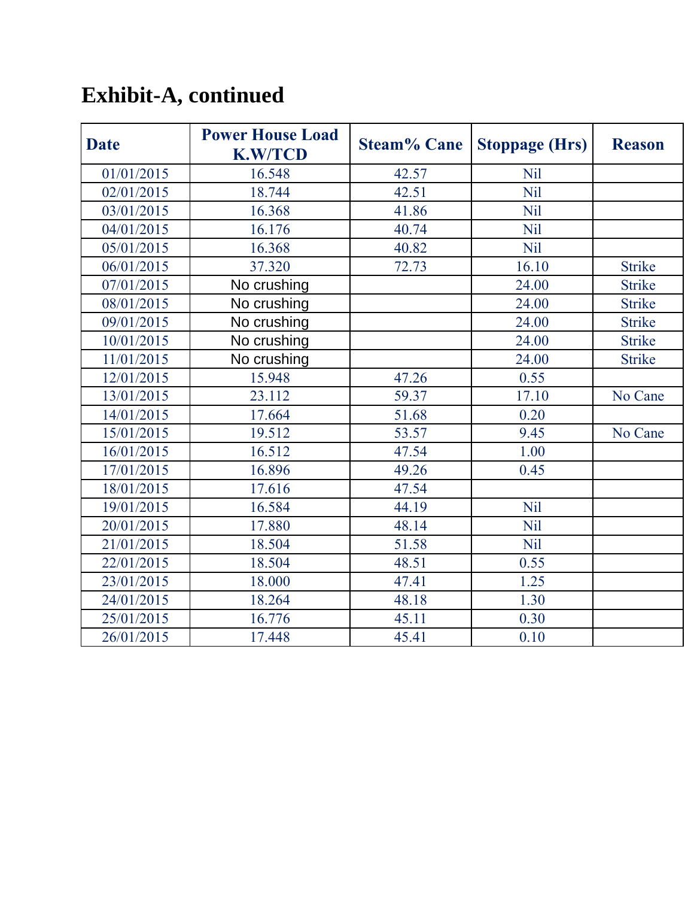# **Exhibit-A, continued**

| <b>Date</b> | <b>Power House Load</b><br><b>K.W/TCD</b> | <b>Steam% Cane</b> | <b>Stoppage (Hrs)</b> | <b>Reason</b> |
|-------------|-------------------------------------------|--------------------|-----------------------|---------------|
| 01/01/2015  | 16.548                                    | 42.57              | <b>Nil</b>            |               |
| 02/01/2015  | 18.744                                    | 42.51              | <b>Nil</b>            |               |
| 03/01/2015  | 16.368                                    | 41.86              | Nil                   |               |
| 04/01/2015  | 16.176                                    | 40.74              | Nil                   |               |
| 05/01/2015  | 16.368                                    | 40.82              | Nil                   |               |
| 06/01/2015  | 37.320                                    | 72.73              | 16.10                 | <b>Strike</b> |
| 07/01/2015  | No crushing                               |                    | 24.00                 | <b>Strike</b> |
| 08/01/2015  | No crushing                               |                    | 24.00                 | <b>Strike</b> |
| 09/01/2015  | No crushing                               |                    | 24.00                 | <b>Strike</b> |
| 10/01/2015  | No crushing                               |                    | 24.00                 | <b>Strike</b> |
| 11/01/2015  | No crushing                               |                    | 24.00                 | <b>Strike</b> |
| 12/01/2015  | 15.948                                    | 47.26              | 0.55                  |               |
| 13/01/2015  | 23.112                                    | 59.37              | 17.10                 | No Cane       |
| 14/01/2015  | 17.664                                    | 51.68              | 0.20                  |               |
| 15/01/2015  | 19.512                                    | 53.57              | 9.45                  | No Cane       |
| 16/01/2015  | 16.512                                    | 47.54              | 1.00                  |               |
| 17/01/2015  | 16.896                                    | 49.26              | 0.45                  |               |
| 18/01/2015  | 17.616                                    | 47.54              |                       |               |
| 19/01/2015  | 16.584                                    | 44.19              | Nil                   |               |
| 20/01/2015  | 17.880                                    | 48.14              | Nil                   |               |
| 21/01/2015  | 18.504                                    | 51.58              | Nil                   |               |
| 22/01/2015  | 18.504                                    | 48.51              | 0.55                  |               |
| 23/01/2015  | 18.000                                    | 47.41              | 1.25                  |               |
| 24/01/2015  | 18.264                                    | 48.18              | 1.30                  |               |
| 25/01/2015  | 16.776                                    | 45.11              | 0.30                  |               |
| 26/01/2015  | 17.448                                    | 45.41              | 0.10                  |               |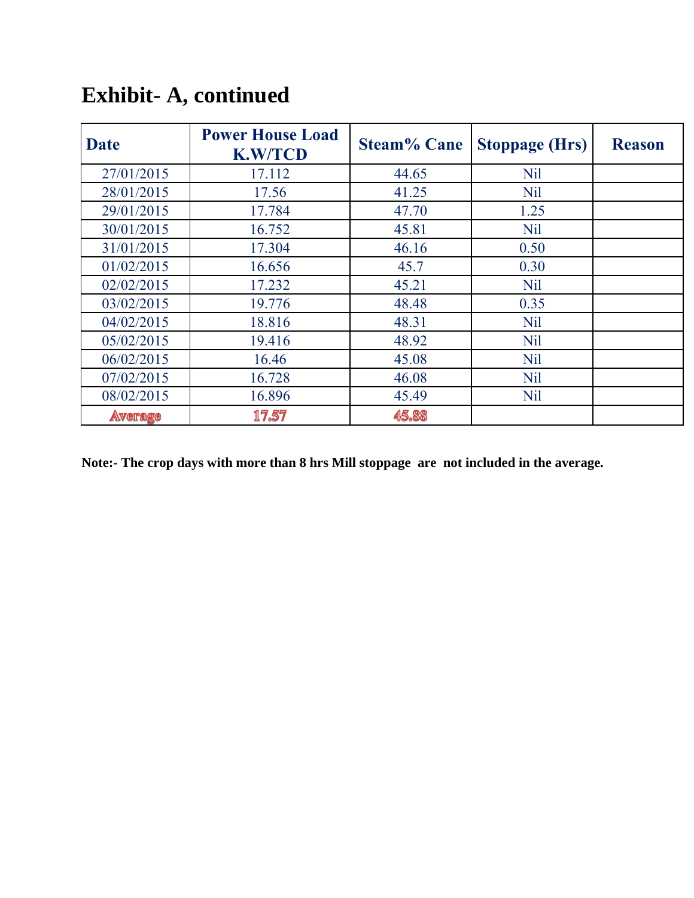| <b>Date</b>    | <b>Power House Load</b><br><b>K.W/TCD</b> | <b>Steam% Cane</b> | <b>Stoppage (Hrs)</b> | <b>Reason</b> |
|----------------|-------------------------------------------|--------------------|-----------------------|---------------|
| 27/01/2015     | 17.112                                    | 44.65              | Nil                   |               |
| 28/01/2015     | 17.56                                     | 41.25              | Nil                   |               |
| 29/01/2015     | 17.784                                    | 47.70              | 1.25                  |               |
| 30/01/2015     | 16.752                                    | 45.81              | <b>Nil</b>            |               |
| 31/01/2015     | 17.304                                    | 46.16              | 0.50                  |               |
| 01/02/2015     | 16.656                                    | 45.7               | 0.30                  |               |
| 02/02/2015     | 17.232                                    | 45.21              | <b>Nil</b>            |               |
| 03/02/2015     | 19.776                                    | 48.48              | 0.35                  |               |
| 04/02/2015     | 18.816                                    | 48.31              | <b>Nil</b>            |               |
| 05/02/2015     | 19.416                                    | 48.92              | <b>Nil</b>            |               |
| 06/02/2015     | 16.46                                     | 45.08              | <b>Nil</b>            |               |
| 07/02/2015     | 16.728                                    | 46.08              | <b>Nil</b>            |               |
| 08/02/2015     | 16.896                                    | 45.49              | <b>Nil</b>            |               |
| <b>Average</b> | 17.57                                     | 45.88              |                       |               |

## **Exhibit- A, continued**

**Note:- The crop days with more than 8 hrs Mill stoppage are not included in the average.**